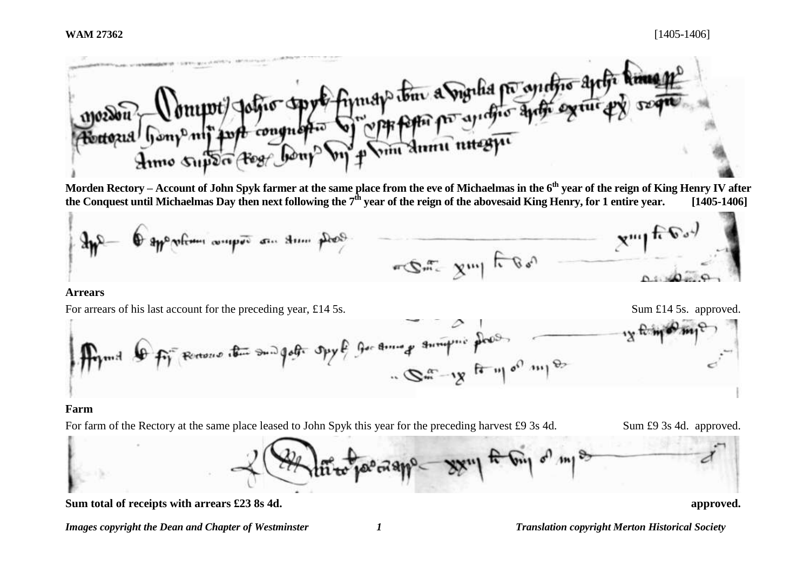

**Morden Rectory – Account of John Spyk farmer at the same place from the eve of Michaelmas in the 6th year of the reign of King Henry IV after the Conquest until Michaelmas Day then next following the 7th year of the reign of the abovesaid King Henry, for 1 entire year. [1405-1406]**



### **Arrears**

For arrears of his last account for the preceding year, £14.5s. Sum £14.5s. Sum £14.5s. approved.



## **Farm**

For farm of the Rectory at the same place leased to John Spyk this year for the preceding harvest £9 3s 4d. Sum £9 3s 4d. approved.



Sum total of receipts with arrears £23 8s 4d. **a** approved.

*Images copyright the Dean and Chapter of Westminster 1 Translation copyright Merton Historical Society*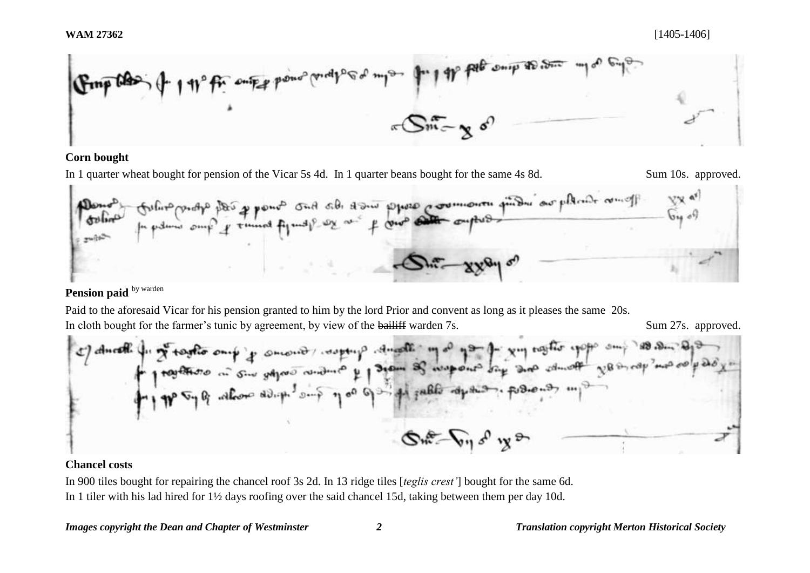

## **Corn bought**

In 1 quarter wheat bought for pension of the Vicar 5s 4d. In 1 quarter beans bought for the same 4s 8d. Sum 10s. approved. adje place of promote such side a some provision production place of the origin  $\frac{1}{2}$  $\mu$  and mult

# Pension paid **by warden**

 $\mathbf{r}$ 

Paid to the aforesaid Vicar for his pension granted to him by the lord Prior and convent as long as it pleases the same 20s. In cloth bought for the farmer's tunic by agreement, by view of the bailiff warden 7s. Sum 27s. approved.

## **Chancel costs**

In 900 tiles bought for repairing the chancel roof 3s 2d. In 13 ridge tiles [*teglis crest'*] bought for the same 6d. In 1 tiler with his lad hired for 1½ days roofing over the said chancel 15d, taking between them per day 10d.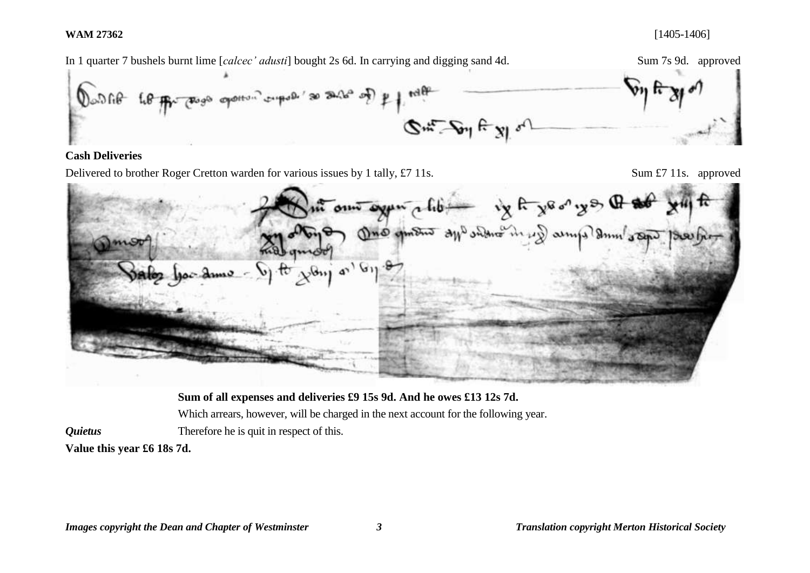

**Sum of all expenses and deliveries £9 15s 9d. And he owes £13 12s 7d.**  Which arrears, however, will be charged in the next account for the following year. *Quietus* Therefore he is quit in respect of this.

**Value this year £6 18s 7d.**